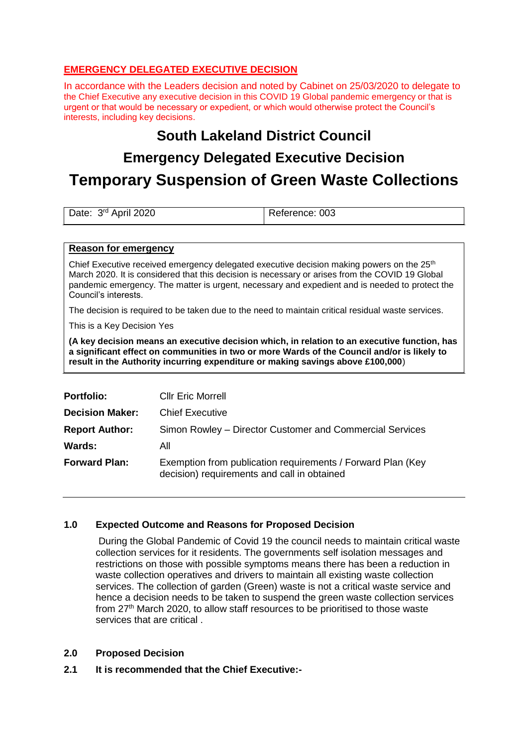### **EMERGENCY DELEGATED EXECUTIVE DECISION**

In accordance with the Leaders decision and noted by Cabinet on 25/03/2020 to delegate to the Chief Executive any executive decision in this COVID 19 Global pandemic emergency or that is urgent or that would be necessary or expedient, or which would otherwise protect the Council's interests, including key decisions.

## **South Lakeland District Council**

# **Emergency Delegated Executive Decision**

# **Temporary Suspension of Green Waste Collections**

| Date: 3 <sup>rd</sup> April 2020 | Reference: 003 |
|----------------------------------|----------------|
|                                  |                |

#### **Reason for emergency**

Chief Executive received emergency delegated executive decision making powers on the  $25<sup>th</sup>$ March 2020. It is considered that this decision is necessary or arises from the COVID 19 Global pandemic emergency. The matter is urgent, necessary and expedient and is needed to protect the Council's interests.

The decision is required to be taken due to the need to maintain critical residual waste services.

This is a Key Decision Yes

**(A key decision means an executive decision which, in relation to an executive function, has a significant effect on communities in two or more Wards of the Council and/or is likely to result in the Authority incurring expenditure or making savings above £100,000**)

| <b>Portfolio:</b>      | <b>CIIr Eric Morrell</b>                                                                                   |
|------------------------|------------------------------------------------------------------------------------------------------------|
| <b>Decision Maker:</b> | <b>Chief Executive</b>                                                                                     |
| <b>Report Author:</b>  | Simon Rowley – Director Customer and Commercial Services                                                   |
| <b>Wards:</b>          | All                                                                                                        |
| <b>Forward Plan:</b>   | Exemption from publication requirements / Forward Plan (Key<br>decision) requirements and call in obtained |

### **1.0 Expected Outcome and Reasons for Proposed Decision**

During the Global Pandemic of Covid 19 the council needs to maintain critical waste collection services for it residents. The governments self isolation messages and restrictions on those with possible symptoms means there has been a reduction in waste collection operatives and drivers to maintain all existing waste collection services. The collection of garden (Green) waste is not a critical waste service and hence a decision needs to be taken to suspend the green waste collection services from 27<sup>th</sup> March 2020, to allow staff resources to be prioritised to those waste services that are critical .

#### **2.0 Proposed Decision**

**2.1 It is recommended that the Chief Executive:-**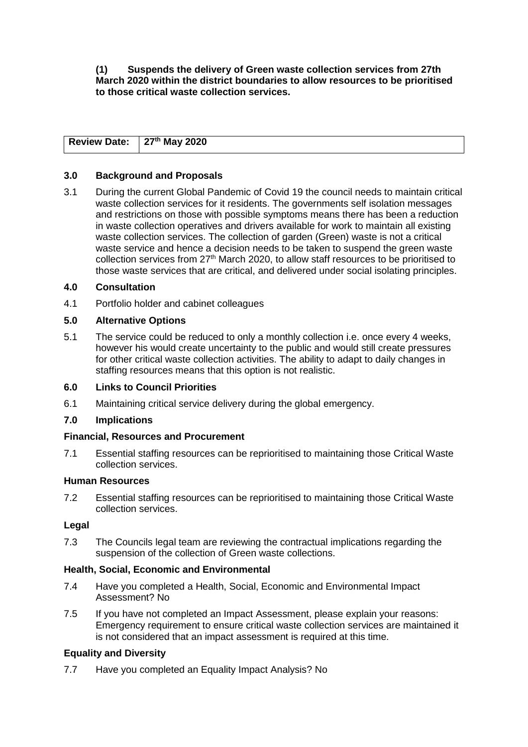#### **(1) Suspends the delivery of Green waste collection services from 27th March 2020 within the district boundaries to allow resources to be prioritised to those critical waste collection services.**

| Review Date: $27th$ May 2020 |  |
|------------------------------|--|

#### **3.0 Background and Proposals**

3.1 During the current Global Pandemic of Covid 19 the council needs to maintain critical waste collection services for it residents. The governments self isolation messages and restrictions on those with possible symptoms means there has been a reduction in waste collection operatives and drivers available for work to maintain all existing waste collection services. The collection of garden (Green) waste is not a critical waste service and hence a decision needs to be taken to suspend the green waste collection services from 27<sup>th</sup> March 2020, to allow staff resources to be prioritised to those waste services that are critical, and delivered under social isolating principles.

#### **4.0 Consultation**

4.1 Portfolio holder and cabinet colleagues

#### **5.0 Alternative Options**

5.1 The service could be reduced to only a monthly collection i.e. once every 4 weeks, however his would create uncertainty to the public and would still create pressures for other critical waste collection activities. The ability to adapt to daily changes in staffing resources means that this option is not realistic.

#### **6.0 Links to Council Priorities**

6.1 Maintaining critical service delivery during the global emergency.

#### **7.0 Implications**

#### **Financial, Resources and Procurement**

7.1 Essential staffing resources can be reprioritised to maintaining those Critical Waste collection services.

#### **Human Resources**

7.2 Essential staffing resources can be reprioritised to maintaining those Critical Waste collection services.

#### **Legal**

7.3 The Councils legal team are reviewing the contractual implications regarding the suspension of the collection of Green waste collections.

#### **Health, Social, Economic and Environmental**

- 7.4 Have you completed a Health, Social, Economic and Environmental Impact Assessment? No
- 7.5 If you have not completed an Impact Assessment, please explain your reasons: Emergency requirement to ensure critical waste collection services are maintained it is not considered that an impact assessment is required at this time.

#### **Equality and Diversity**

7.7 Have you completed an Equality Impact Analysis? No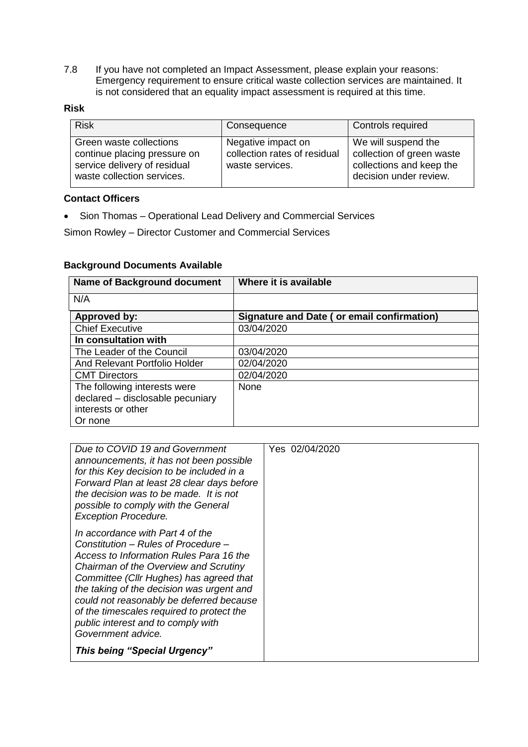7.8 If you have not completed an Impact Assessment, please explain your reasons: Emergency requirement to ensure critical waste collection services are maintained. It is not considered that an equality impact assessment is required at this time.

| <b>Risk</b>                                                                                                           | Consequence                                                           | Controls required                                                                                      |
|-----------------------------------------------------------------------------------------------------------------------|-----------------------------------------------------------------------|--------------------------------------------------------------------------------------------------------|
| Green waste collections<br>continue placing pressure on<br>service delivery of residual<br>waste collection services. | Negative impact on<br>collection rates of residual<br>waste services. | We will suspend the<br>collection of green waste<br>collections and keep the<br>decision under review. |

#### **Contact Officers**

• Sion Thomas – Operational Lead Delivery and Commercial Services

Simon Rowley – Director Customer and Commercial Services

#### **Background Documents Available**

| <b>Name of Background document</b> | Where it is available                      |
|------------------------------------|--------------------------------------------|
| N/A                                |                                            |
| Approved by:                       | Signature and Date (or email confirmation) |
| <b>Chief Executive</b>             | 03/04/2020                                 |
| In consultation with               |                                            |
| The Leader of the Council          | 03/04/2020                                 |
| And Relevant Portfolio Holder      | 02/04/2020                                 |
| <b>CMT Directors</b>               | 02/04/2020                                 |
| The following interests were       | <b>None</b>                                |
| declared - disclosable pecuniary   |                                            |
| interests or other                 |                                            |
| Or none                            |                                            |

| Due to COVID 19 and Government<br>announcements, it has not been possible<br>for this Key decision to be included in a<br>Forward Plan at least 28 clear days before<br>the decision was to be made. It is not<br>possible to comply with the General<br><b>Exception Procedure.</b>                                                                                                                     | Yes 02/04/2020 |
|----------------------------------------------------------------------------------------------------------------------------------------------------------------------------------------------------------------------------------------------------------------------------------------------------------------------------------------------------------------------------------------------------------|----------------|
| In accordance with Part 4 of the<br>Constitution - Rules of Procedure -<br>Access to Information Rules Para 16 the<br>Chairman of the Overview and Scrutiny<br>Committee (Cllr Hughes) has agreed that<br>the taking of the decision was urgent and<br>could not reasonably be deferred because<br>of the timescales required to protect the<br>public interest and to comply with<br>Government advice. |                |
| <b>This being "Special Urgency"</b>                                                                                                                                                                                                                                                                                                                                                                      |                |